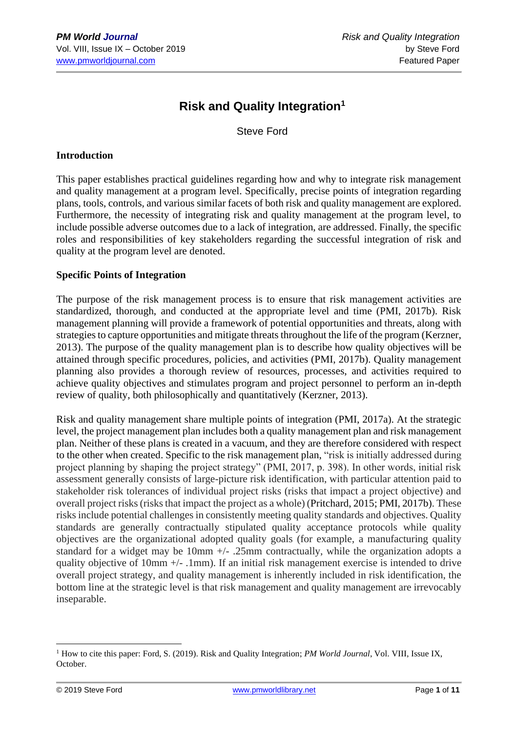# **Risk and Quality Integration<sup>1</sup>**

Steve Ford

#### **Introduction**

This paper establishes practical guidelines regarding how and why to integrate risk management and quality management at a program level. Specifically, precise points of integration regarding plans, tools, controls, and various similar facets of both risk and quality management are explored. Furthermore, the necessity of integrating risk and quality management at the program level, to include possible adverse outcomes due to a lack of integration, are addressed. Finally, the specific roles and responsibilities of key stakeholders regarding the successful integration of risk and quality at the program level are denoted.

### **Specific Points of Integration**

The purpose of the risk management process is to ensure that risk management activities are standardized, thorough, and conducted at the appropriate level and time (PMI, 2017b). Risk management planning will provide a framework of potential opportunities and threats, along with strategies to capture opportunities and mitigate threats throughout the life of the program (Kerzner, 2013). The purpose of the quality management plan is to describe how quality objectives will be attained through specific procedures, policies, and activities (PMI, 2017b). Quality management planning also provides a thorough review of resources, processes, and activities required to achieve quality objectives and stimulates program and project personnel to perform an in-depth review of quality, both philosophically and quantitatively (Kerzner, 2013).

Risk and quality management share multiple points of integration (PMI, 2017a). At the strategic level, the project management plan includes both a quality management plan and risk management plan. Neither of these plans is created in a vacuum, and they are therefore considered with respect to the other when created. Specific to the risk management plan, "risk is initially addressed during project planning by shaping the project strategy" (PMI, 2017, p. 398). In other words, initial risk assessment generally consists of large-picture risk identification, with particular attention paid to stakeholder risk tolerances of individual project risks (risks that impact a project objective) and overall project risks (risks that impact the project as a whole) (Pritchard, 2015; PMI, 2017b). These risks include potential challenges in consistently meeting quality standards and objectives. Quality standards are generally contractually stipulated quality acceptance protocols while quality objectives are the organizational adopted quality goals (for example, a manufacturing quality standard for a widget may be 10mm +/- .25mm contractually, while the organization adopts a quality objective of 10mm +/- .1mm). If an initial risk management exercise is intended to drive overall project strategy, and quality management is inherently included in risk identification, the bottom line at the strategic level is that risk management and quality management are irrevocably inseparable.

<sup>1</sup> How to cite this paper: Ford, S. (2019). Risk and Quality Integration; *PM World Journal*, Vol. VIII, Issue IX, October.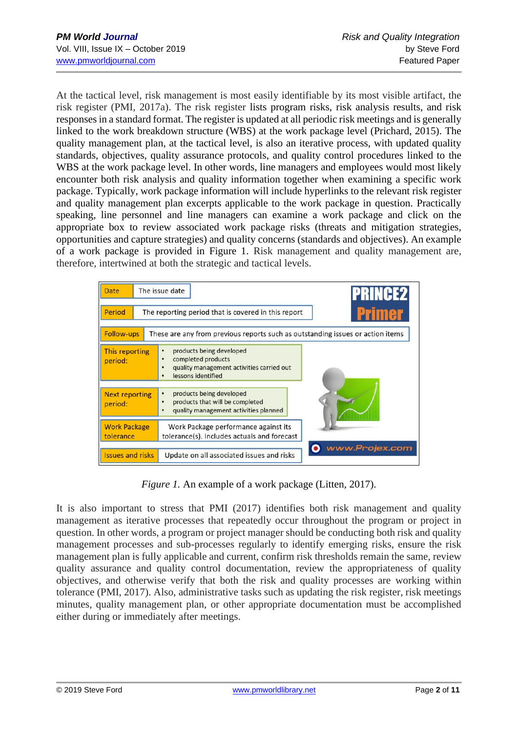At the tactical level, risk management is most easily identifiable by its most visible artifact, the risk register (PMI, 2017a). The risk register lists program risks, risk analysis results, and risk responses in a standard format. The register is updated at all periodic risk meetings and is generally linked to the work breakdown structure (WBS) at the work package level (Prichard, 2015). The quality management plan, at the tactical level, is also an iterative process, with updated quality standards, objectives, quality assurance protocols, and quality control procedures linked to the WBS at the work package level. In other words, line managers and employees would most likely encounter both risk analysis and quality information together when examining a specific work package. Typically, work package information will include hyperlinks to the relevant risk register and quality management plan excerpts applicable to the work package in question. Practically speaking, line personnel and line managers can examine a work package and click on the appropriate box to review associated work package risks (threats and mitigation strategies, opportunities and capture strategies) and quality concerns (standards and objectives). An example of a work package is provided in Figure 1. Risk management and quality management are, therefore, intertwined at both the strategic and tactical levels.



*Figure 1.* An example of a work package (Litten, 2017).

It is also important to stress that PMI (2017) identifies both risk management and quality management as iterative processes that repeatedly occur throughout the program or project in question. In other words, a program or project manager should be conducting both risk and quality management processes and sub-processes regularly to identify emerging risks, ensure the risk management plan is fully applicable and current, confirm risk thresholds remain the same, review quality assurance and quality control documentation, review the appropriateness of quality objectives, and otherwise verify that both the risk and quality processes are working within tolerance (PMI, 2017). Also, administrative tasks such as updating the risk register, risk meetings minutes, quality management plan, or other appropriate documentation must be accomplished either during or immediately after meetings.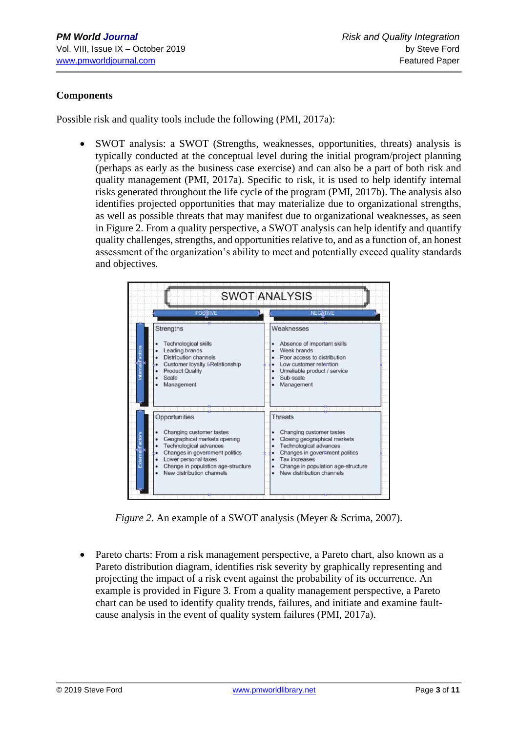## **Components**

Possible risk and quality tools include the following (PMI, 2017a):

• SWOT analysis: a SWOT (Strengths, weaknesses, opportunities, threats) analysis is typically conducted at the conceptual level during the initial program/project planning (perhaps as early as the business case exercise) and can also be a part of both risk and quality management (PMI, 2017a). Specific to risk, it is used to help identify internal risks generated throughout the life cycle of the program (PMI, 2017b). The analysis also identifies projected opportunities that may materialize due to organizational strengths, as well as possible threats that may manifest due to organizational weaknesses, as seen in Figure 2. From a quality perspective, a SWOT analysis can help identify and quantify quality challenges, strengths, and opportunities relative to, and as a function of, an honest assessment of the organization's ability to meet and potentially exceed quality standards and objectives.

| <b>POSSTIVE</b>                    | <b>NEG&amp;TIVE</b>                |
|------------------------------------|------------------------------------|
| <b>Strengths</b>                   | Weaknesses                         |
| <b>Technological skills</b>        | Absence of important skills        |
| Leading brands                     | Weak brands                        |
| Distribution channels              | Poor access to distribution        |
| Customer lovalty / Relationship    | Low customer retention             |
| <b>Product Quality</b>             | Unreliable product / service       |
| Scale                              | Sub-scale                          |
| Management                         | Management                         |
|                                    |                                    |
| Opportunities                      | <b>Threats</b>                     |
| Changing customer tastes           | Changing customer tastes           |
| Geographical markets opening       | Closing geographical markets       |
| <b>Technological advances</b>      | <b>Technological advances</b>      |
| Changes in government politics     | Changes in goversment politics     |
| Lower personal taxes               | <b>Tax increases</b>               |
| Change in population age-structure | Change in population age-structure |
| New distribution channels.         | New distribution channels          |

*Figure 2*. An example of a SWOT analysis (Meyer & Scrima, 2007).

• Pareto charts: From a risk management perspective, a Pareto chart, also known as a Pareto distribution diagram, identifies risk severity by graphically representing and projecting the impact of a risk event against the probability of its occurrence. An example is provided in Figure 3. From a quality management perspective, a Pareto chart can be used to identify quality trends, failures, and initiate and examine faultcause analysis in the event of quality system failures (PMI, 2017a).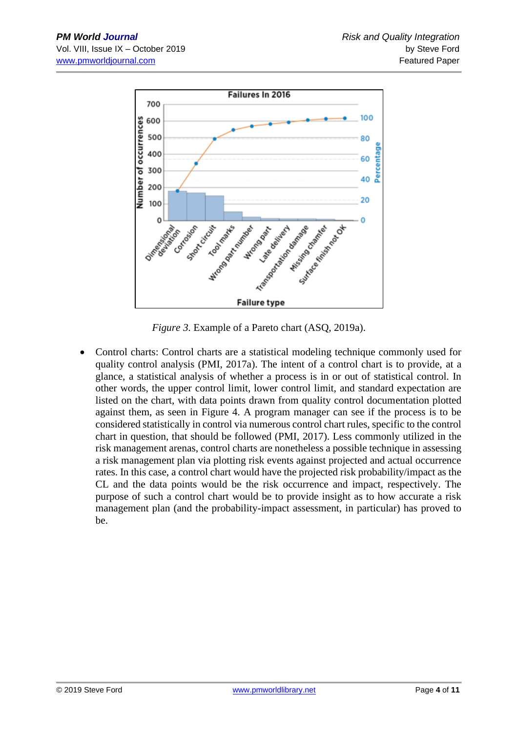

*Figure 3.* Example of a Pareto chart (ASQ, 2019a).

• Control charts: Control charts are a statistical modeling technique commonly used for quality control analysis (PMI, 2017a). The intent of a control chart is to provide, at a glance, a statistical analysis of whether a process is in or out of statistical control. In other words, the upper control limit, lower control limit, and standard expectation are listed on the chart, with data points drawn from quality control documentation plotted against them, as seen in Figure 4. A program manager can see if the process is to be considered statistically in control via numerous control chart rules, specific to the control chart in question, that should be followed (PMI, 2017). Less commonly utilized in the risk management arenas, control charts are nonetheless a possible technique in assessing a risk management plan via plotting risk events against projected and actual occurrence rates. In this case, a control chart would have the projected risk probability/impact as the CL and the data points would be the risk occurrence and impact, respectively. The purpose of such a control chart would be to provide insight as to how accurate a risk management plan (and the probability-impact assessment, in particular) has proved to be.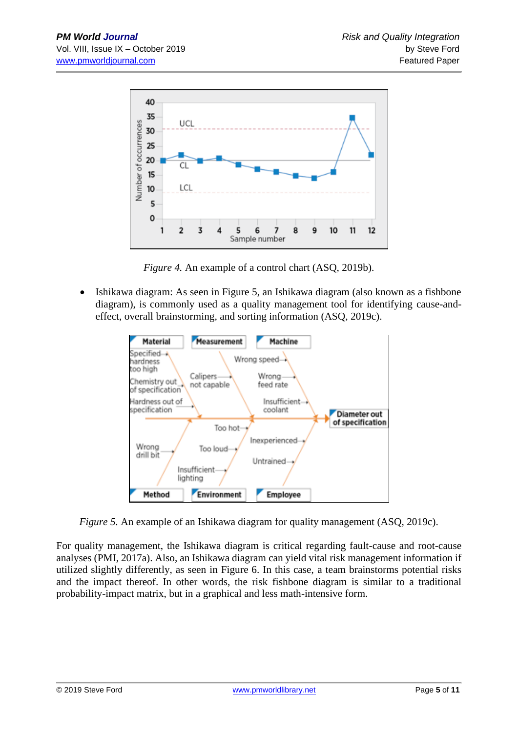

*Figure 4.* An example of a control chart (ASQ, 2019b).

• Ishikawa diagram: As seen in Figure 5, an Ishikawa diagram (also known as a fishbone diagram), is commonly used as a quality management tool for identifying cause-andeffect, overall brainstorming, and sorting information (ASQ, 2019c).



*Figure 5.* An example of an Ishikawa diagram for quality management (ASO, 2019c).

For quality management, the Ishikawa diagram is critical regarding fault-cause and root-cause analyses (PMI, 2017a). Also, an Ishikawa diagram can yield vital risk management information if utilized slightly differently, as seen in Figure 6. In this case, a team brainstorms potential risks and the impact thereof. In other words, the risk fishbone diagram is similar to a traditional probability-impact matrix, but in a graphical and less math-intensive form.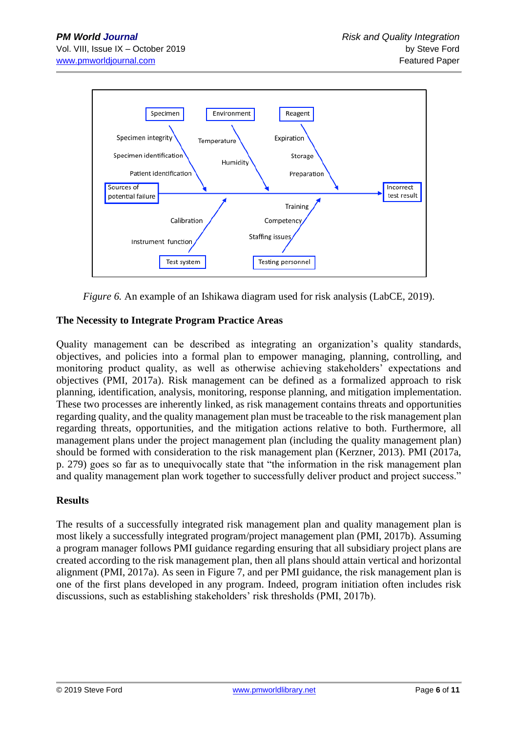

*Figure 6.* An example of an Ishikawa diagram used for risk analysis (LabCE, 2019).

## **The Necessity to Integrate Program Practice Areas**

Quality management can be described as integrating an organization's quality standards, objectives, and policies into a formal plan to empower managing, planning, controlling, and monitoring product quality, as well as otherwise achieving stakeholders' expectations and objectives (PMI, 2017a). Risk management can be defined as a formalized approach to risk planning, identification, analysis, monitoring, response planning, and mitigation implementation. These two processes are inherently linked, as risk management contains threats and opportunities regarding quality, and the quality management plan must be traceable to the risk management plan regarding threats, opportunities, and the mitigation actions relative to both. Furthermore, all management plans under the project management plan (including the quality management plan) should be formed with consideration to the risk management plan (Kerzner, 2013). PMI (2017a, p. 279) goes so far as to unequivocally state that "the information in the risk management plan and quality management plan work together to successfully deliver product and project success."

#### **Results**

The results of a successfully integrated risk management plan and quality management plan is most likely a successfully integrated program/project management plan (PMI, 2017b). Assuming a program manager follows PMI guidance regarding ensuring that all subsidiary project plans are created according to the risk management plan, then all plans should attain vertical and horizontal alignment (PMI, 2017a). As seen in Figure 7, and per PMI guidance, the risk management plan is one of the first plans developed in any program. Indeed, program initiation often includes risk discussions, such as establishing stakeholders' risk thresholds (PMI, 2017b).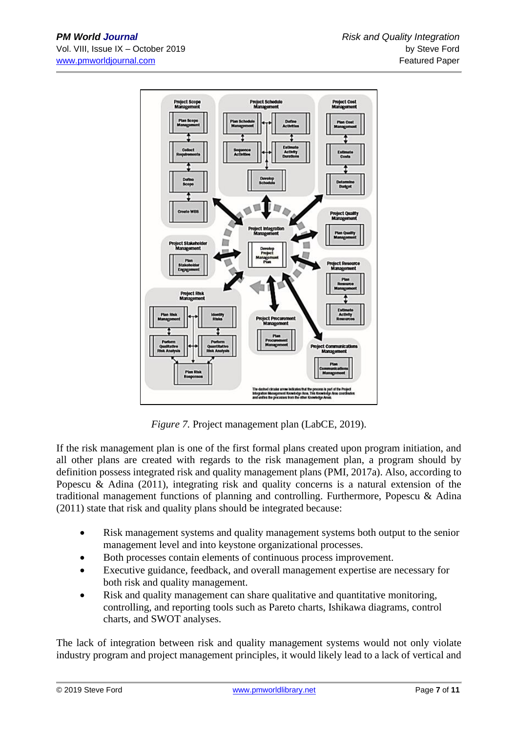

*Figure 7.* Project management plan (LabCE, 2019).

If the risk management plan is one of the first formal plans created upon program initiation, and all other plans are created with regards to the risk management plan, a program should by definition possess integrated risk and quality management plans (PMI, 2017a). Also, according to Popescu & Adina (2011), integrating risk and quality concerns is a natural extension of the traditional management functions of planning and controlling. Furthermore, Popescu & Adina (2011) state that risk and quality plans should be integrated because:

- Risk management systems and quality management systems both output to the senior management level and into keystone organizational processes.
- Both processes contain elements of continuous process improvement.
- Executive guidance, feedback, and overall management expertise are necessary for both risk and quality management.
- Risk and quality management can share qualitative and quantitative monitoring, controlling, and reporting tools such as Pareto charts, Ishikawa diagrams, control charts, and SWOT analyses.

The lack of integration between risk and quality management systems would not only violate industry program and project management principles, it would likely lead to a lack of vertical and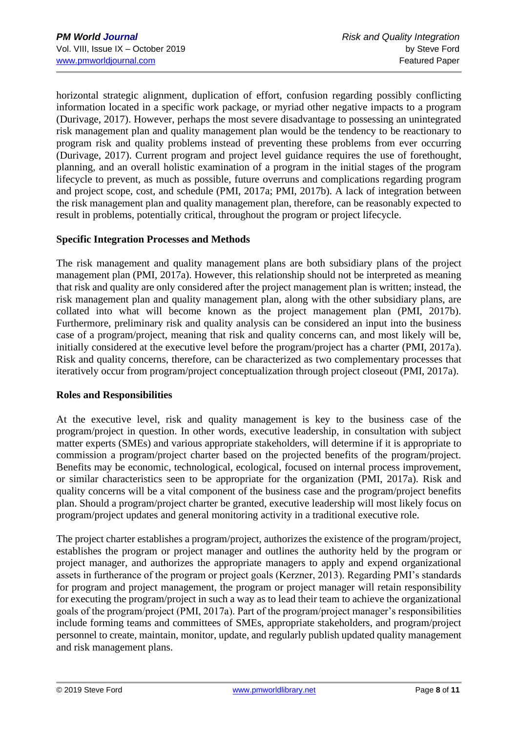horizontal strategic alignment, duplication of effort, confusion regarding possibly conflicting information located in a specific work package, or myriad other negative impacts to a program (Durivage, 2017). However, perhaps the most severe disadvantage to possessing an unintegrated risk management plan and quality management plan would be the tendency to be reactionary to program risk and quality problems instead of preventing these problems from ever occurring (Durivage, 2017). Current program and project level guidance requires the use of forethought, planning, and an overall holistic examination of a program in the initial stages of the program lifecycle to prevent, as much as possible, future overruns and complications regarding program and project scope, cost, and schedule (PMI, 2017a; PMI, 2017b). A lack of integration between the risk management plan and quality management plan, therefore, can be reasonably expected to result in problems, potentially critical, throughout the program or project lifecycle.

#### **Specific Integration Processes and Methods**

The risk management and quality management plans are both subsidiary plans of the project management plan (PMI, 2017a). However, this relationship should not be interpreted as meaning that risk and quality are only considered after the project management plan is written; instead, the risk management plan and quality management plan, along with the other subsidiary plans, are collated into what will become known as the project management plan (PMI, 2017b). Furthermore, preliminary risk and quality analysis can be considered an input into the business case of a program/project, meaning that risk and quality concerns can, and most likely will be, initially considered at the executive level before the program/project has a charter (PMI, 2017a). Risk and quality concerns, therefore, can be characterized as two complementary processes that iteratively occur from program/project conceptualization through project closeout (PMI, 2017a).

#### **Roles and Responsibilities**

At the executive level, risk and quality management is key to the business case of the program/project in question. In other words, executive leadership, in consultation with subject matter experts (SMEs) and various appropriate stakeholders, will determine if it is appropriate to commission a program/project charter based on the projected benefits of the program/project. Benefits may be economic, technological, ecological, focused on internal process improvement, or similar characteristics seen to be appropriate for the organization (PMI, 2017a). Risk and quality concerns will be a vital component of the business case and the program/project benefits plan. Should a program/project charter be granted, executive leadership will most likely focus on program/project updates and general monitoring activity in a traditional executive role.

The project charter establishes a program/project, authorizes the existence of the program/project, establishes the program or project manager and outlines the authority held by the program or project manager, and authorizes the appropriate managers to apply and expend organizational assets in furtherance of the program or project goals (Kerzner, 2013). Regarding PMI's standards for program and project management, the program or project manager will retain responsibility for executing the program/project in such a way as to lead their team to achieve the organizational goals of the program/project (PMI, 2017a). Part of the program/project manager's responsibilities include forming teams and committees of SMEs, appropriate stakeholders, and program/project personnel to create, maintain, monitor, update, and regularly publish updated quality management and risk management plans.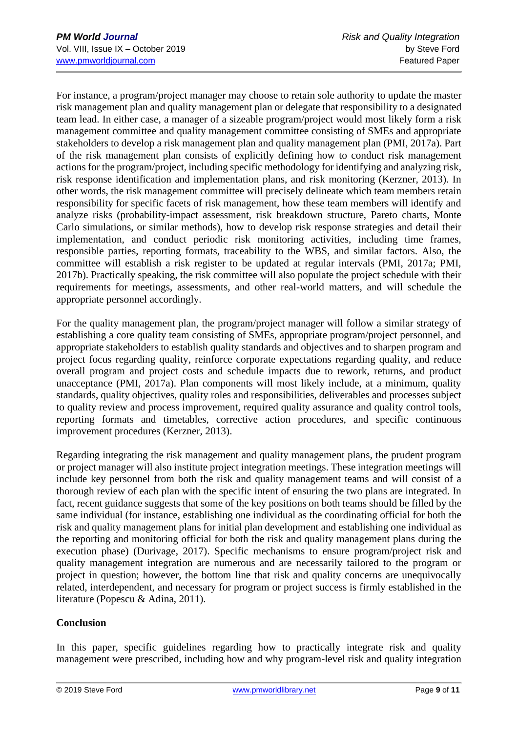For instance, a program/project manager may choose to retain sole authority to update the master risk management plan and quality management plan or delegate that responsibility to a designated team lead. In either case, a manager of a sizeable program/project would most likely form a risk management committee and quality management committee consisting of SMEs and appropriate stakeholders to develop a risk management plan and quality management plan (PMI, 2017a). Part of the risk management plan consists of explicitly defining how to conduct risk management actions for the program/project, including specific methodology for identifying and analyzing risk, risk response identification and implementation plans, and risk monitoring (Kerzner, 2013). In other words, the risk management committee will precisely delineate which team members retain responsibility for specific facets of risk management, how these team members will identify and analyze risks (probability-impact assessment, risk breakdown structure, Pareto charts, Monte Carlo simulations, or similar methods), how to develop risk response strategies and detail their implementation, and conduct periodic risk monitoring activities, including time frames, responsible parties, reporting formats, traceability to the WBS, and similar factors. Also, the committee will establish a risk register to be updated at regular intervals (PMI, 2017a; PMI, 2017b). Practically speaking, the risk committee will also populate the project schedule with their requirements for meetings, assessments, and other real-world matters, and will schedule the appropriate personnel accordingly.

For the quality management plan, the program/project manager will follow a similar strategy of establishing a core quality team consisting of SMEs, appropriate program/project personnel, and appropriate stakeholders to establish quality standards and objectives and to sharpen program and project focus regarding quality, reinforce corporate expectations regarding quality, and reduce overall program and project costs and schedule impacts due to rework, returns, and product unacceptance (PMI, 2017a). Plan components will most likely include, at a minimum, quality standards, quality objectives, quality roles and responsibilities, deliverables and processes subject to quality review and process improvement, required quality assurance and quality control tools, reporting formats and timetables, corrective action procedures, and specific continuous improvement procedures (Kerzner, 2013).

Regarding integrating the risk management and quality management plans, the prudent program or project manager will also institute project integration meetings. These integration meetings will include key personnel from both the risk and quality management teams and will consist of a thorough review of each plan with the specific intent of ensuring the two plans are integrated. In fact, recent guidance suggests that some of the key positions on both teams should be filled by the same individual (for instance, establishing one individual as the coordinating official for both the risk and quality management plans for initial plan development and establishing one individual as the reporting and monitoring official for both the risk and quality management plans during the execution phase) (Durivage, 2017). Specific mechanisms to ensure program/project risk and quality management integration are numerous and are necessarily tailored to the program or project in question; however, the bottom line that risk and quality concerns are unequivocally related, interdependent, and necessary for program or project success is firmly established in the literature (Popescu & Adina, 2011).

## **Conclusion**

In this paper, specific guidelines regarding how to practically integrate risk and quality management were prescribed, including how and why program-level risk and quality integration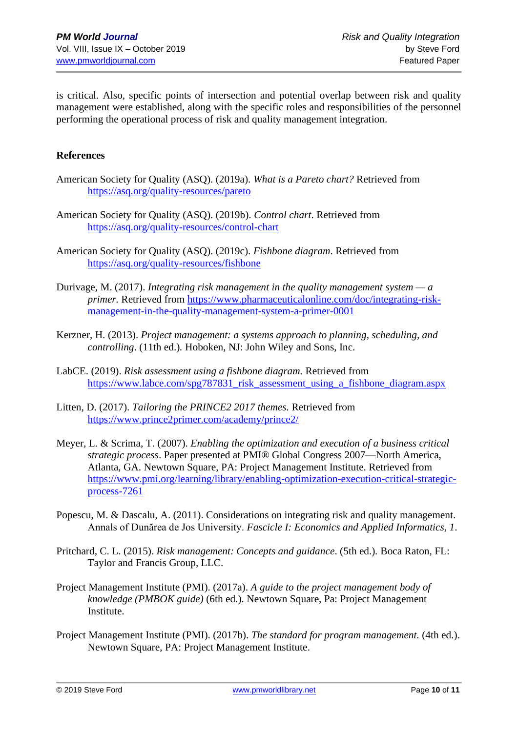is critical. Also, specific points of intersection and potential overlap between risk and quality management were established, along with the specific roles and responsibilities of the personnel performing the operational process of risk and quality management integration.

#### **References**

- American Society for Quality (ASQ). (2019a). *What is a Pareto chart?* Retrieved from <https://asq.org/quality-resources/pareto>
- American Society for Quality (ASQ). (2019b). *Control chart*. Retrieved from <https://asq.org/quality-resources/control-chart>
- American Society for Quality (ASQ). (2019c). *Fishbone diagram*. Retrieved from <https://asq.org/quality-resources/fishbone>
- Durivage, M. (2017). *Integrating risk management in the quality management system — a primer.* Retrieved from [https://www.pharmaceuticalonline.com/doc/integrating-risk](https://www.pharmaceuticalonline.com/doc/integrating-risk-management-in-the-quality-management-system-a-primer-0001)[management-in-the-quality-management-system-a-primer-0001](https://www.pharmaceuticalonline.com/doc/integrating-risk-management-in-the-quality-management-system-a-primer-0001)
- Kerzner, H. (2013). *Project management: a systems approach to planning, scheduling, and controlling*. (11th ed.)*.* Hoboken, NJ: John Wiley and Sons, Inc.
- LabCE. (2019). *Risk assessment using a fishbone diagram.* Retrieved from [https://www.labce.com/spg787831\\_risk\\_assessment\\_using\\_a\\_fishbone\\_diagram.aspx](https://www.labce.com/spg787831_risk_assessment_using_a_fishbone_diagram.aspx)
- Litten, D. (2017). *Tailoring the PRINCE2 2017 themes.* Retrieved from <https://www.prince2primer.com/academy/prince2/>
- Meyer, L. & Scrima, T. (2007). *Enabling the optimization and execution of a business critical strategic process*. Paper presented at PMI® Global Congress 2007—North America, Atlanta, GA. Newtown Square, PA: Project Management Institute. Retrieved from [https://www.pmi.org/learning/library/enabling-optimization-execution-critical-strategic](https://www.pmi.org/learning/library/enabling-optimization-execution-critical-strategic-process-7261)[process-7261](https://www.pmi.org/learning/library/enabling-optimization-execution-critical-strategic-process-7261)
- Popescu, M. & Dascalu, A. (2011). Considerations on integrating risk and quality management. Annals of Dunărea de Jos University. *Fascicle I: Economics and Applied Informatics, 1*.
- Pritchard, C. L. (2015). *Risk management: Concepts and guidance*. (5th ed.)*.* Boca Raton, FL: Taylor and Francis Group, LLC.
- Project Management Institute (PMI). (2017a). *A guide to the project management body of knowledge (PMBOK guide)* (6th ed.). Newtown Square, Pa: Project Management Institute.
- Project Management Institute (PMI). (2017b). *The standard for program management.* (4th ed.). Newtown Square, PA: Project Management Institute.